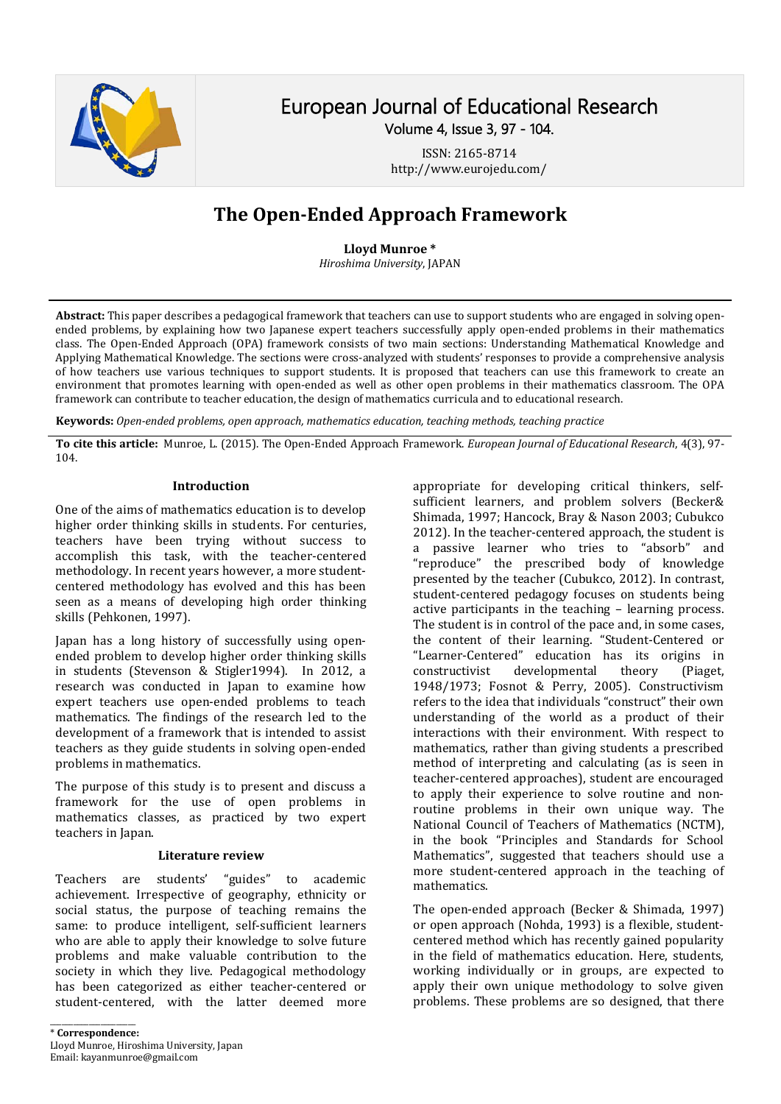

# European Journal of Educational Research Volume 4, Issue 3, 97 - 104.

ISSN: 2165-8714 http://www.eurojedu.com/

# **The Open-Ended Approach Framework**

#### **Lloyd Munroe \***

*Hiroshima University*, JAPAN

**Abstract:** This paper describes a pedagogical framework that teachers can use to support students who are engaged in solving openended problems, by explaining how two Japanese expert teachers successfully apply open-ended problems in their mathematics class. The Open-Ended Approach (OPA) framework consists of two main sections: Understanding Mathematical Knowledge and Applying Mathematical Knowledge. The sections were cross-analyzed with students' responses to provide a comprehensive analysis of how teachers use various techniques to support students. It is proposed that teachers can use this framework to create an environment that promotes learning with open-ended as well as other open problems in their mathematics classroom. The OPA framework can contribute to teacher education, the design of mathematics curricula and to educational research.

**Keywords:** *Open-ended problems, open approach, mathematics education, teaching methods, teaching practice*

**To cite this article:** Munroe, L. (2015). The Open-Ended Approach Framework. *European Journal of Educational Research*, 4(3), 97- 104.

#### **Introduction**

One of the aims of mathematics education is to develop higher order thinking skills in students. For centuries, teachers have been trying without success to accomplish this task, with the teacher-centered methodology. In recent years however, a more studentcentered methodology has evolved and this has been seen as a means of developing high order thinking skills (Pehkonen, 1997).

Japan has a long history of successfully using openended problem to develop higher order thinking skills in students (Stevenson & Stigler1994). In 2012, a research was conducted in Japan to examine how expert teachers use open-ended problems to teach mathematics. The findings of the research led to the development of a framework that is intended to assist teachers as they guide students in solving open-ended problems in mathematics.

The purpose of this study is to present and discuss a framework for the use of open problems in mathematics classes, as practiced by two expert teachers in Japan.

#### **Literature review**

Teachers are students' "guides" to academic achievement. Irrespective of geography, ethnicity or social status, the purpose of teaching remains the same: to produce intelligent, self-sufficient learners who are able to apply their knowledge to solve future problems and make valuable contribution to the society in which they live. Pedagogical methodology has been categorized as either teacher-centered or student-centered, with the latter deemed more

\_\_\_\_\_\_\_\_\_\_\_\_\_\_\_\_\_\_\_\_\_\_ \* **Correspondence:** Lloyd Munroe, Hiroshima University, Japan Email: kayanmunroe@gmail.com

appropriate for developing critical thinkers, selfsufficient learners, and problem solvers (Becker& Shimada, 1997; Hancock, Bray & Nason 2003; Cubukco 2012). In the teacher-centered approach, the student is a passive learner who tries to "absorb" and "reproduce" the prescribed body of knowledge presented by the teacher (Cubukco, 2012). In contrast, student-centered pedagogy focuses on students being active participants in the teaching – learning process. The student is in control of the pace and, in some cases, the content of their learning. "Student-Centered or "Learner-Centered" education has its origins in constructivist developmental theory (Piaget, 1948/1973; Fosnot & Perry, 2005). Constructivism refers to the idea that individuals "construct" their own understanding of the world as a product of their interactions with their environment. With respect to mathematics, rather than giving students a prescribed method of interpreting and calculating (as is seen in teacher-centered approaches), student are encouraged to apply their experience to solve routine and nonroutine problems in their own unique way. The National Council of Teachers of Mathematics (NCTM), in the book "Principles and Standards for School Mathematics", suggested that teachers should use a more student-centered approach in the teaching of mathematics.

The open-ended approach (Becker & Shimada, 1997) or open approach (Nohda, 1993) is a flexible, studentcentered method which has recently gained popularity in the field of mathematics education. Here, students, working individually or in groups, are expected to apply their own unique methodology to solve given problems. These problems are so designed, that there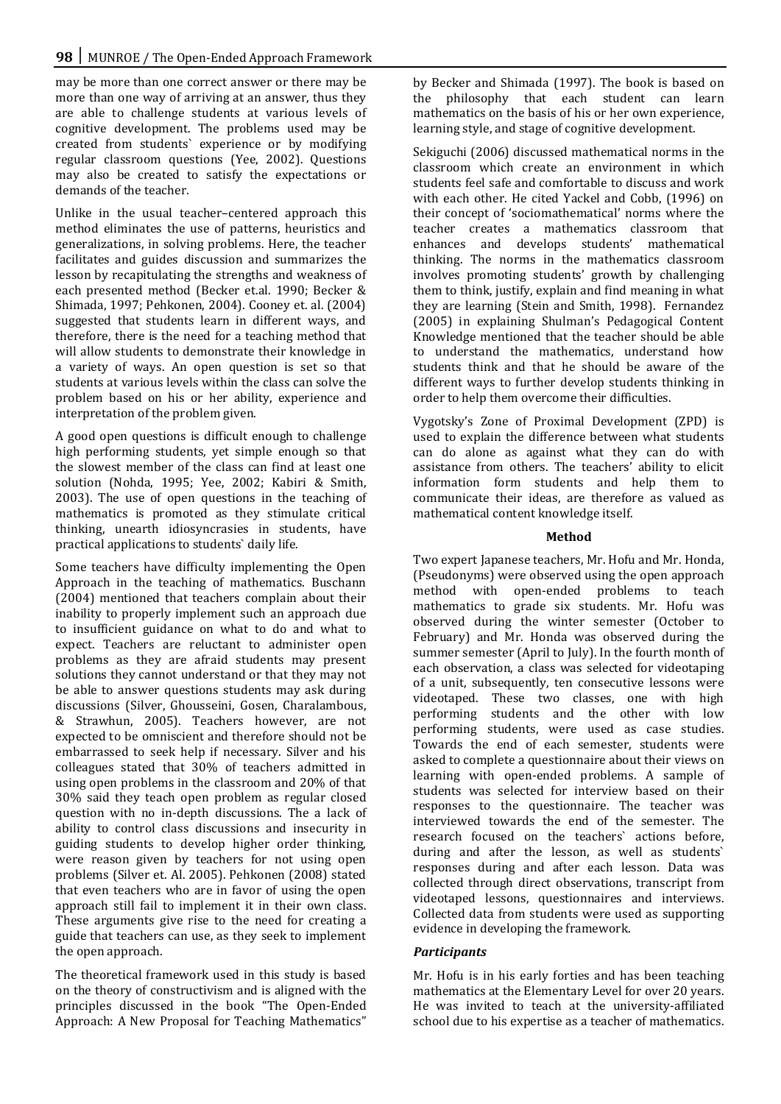may be more than one correct answer or there may be more than one way of arriving at an answer, thus they are able to challenge students at various levels of cognitive development. The problems used may be created from students` experience or by modifying regular classroom questions (Yee, 2002). Questions may also be created to satisfy the expectations or demands of the teacher.

Unlike in the usual teacher–centered approach this method eliminates the use of patterns, heuristics and generalizations, in solving problems. Here, the teacher facilitates and guides discussion and summarizes the lesson by recapitulating the strengths and weakness of each presented method (Becker et.al. 1990; Becker & Shimada, 1997; Pehkonen, 2004). Cooney et. al. (2004) suggested that students learn in different ways, and therefore, there is the need for a teaching method that will allow students to demonstrate their knowledge in a variety of ways. An open question is set so that students at various levels within the class can solve the problem based on his or her ability, experience and interpretation of the problem given.

A good open questions is difficult enough to challenge high performing students, yet simple enough so that the slowest member of the class can find at least one solution (Nohda, 1995; Yee, 2002; Kabiri & Smith, 2003). The use of open questions in the teaching of mathematics is promoted as they stimulate critical thinking, unearth idiosyncrasies in students, have practical applications to students` daily life.

Some teachers have difficulty implementing the Open Approach in the teaching of mathematics. Buschann (2004) mentioned that teachers complain about their inability to properly implement such an approach due to insufficient guidance on what to do and what to expect. Teachers are reluctant to administer open problems as they are afraid students may present solutions they cannot understand or that they may not be able to answer questions students may ask during discussions (Silver, Ghousseini, Gosen, Charalambous, & Strawhun, 2005). Teachers however, are not expected to be omniscient and therefore should not be embarrassed to seek help if necessary. Silver and his colleagues stated that 30% of teachers admitted in using open problems in the classroom and 20% of that 30% said they teach open problem as regular closed question with no in-depth discussions. The a lack of ability to control class discussions and insecurity in guiding students to develop higher order thinking, were reason given by teachers for not using open problems (Silver et. Al. 2005). Pehkonen (2008) stated that even teachers who are in favor of using the open approach still fail to implement it in their own class. These arguments give rise to the need for creating a guide that teachers can use, as they seek to implement the open approach.

The theoretical framework used in this study is based on the theory of constructivism and is aligned with the principles discussed in the book "The Open-Ended Approach: A New Proposal for Teaching Mathematics"

by Becker and Shimada (1997). The book is based on the philosophy that each student can learn mathematics on the basis of his or her own experience, learning style, and stage of cognitive development.

Sekiguchi (2006) discussed mathematical norms in the classroom which create an environment in which students feel safe and comfortable to discuss and work with each other. He cited Yackel and Cobb, (1996) on their concept of 'sociomathematical' norms where the teacher creates a mathematics classroom that enhances and develops students' mathematical thinking. The norms in the mathematics classroom involves promoting students' growth by challenging them to think, justify, explain and find meaning in what they are learning (Stein and Smith, 1998). Fernandez (2005) in explaining Shulman's Pedagogical Content Knowledge mentioned that the teacher should be able to understand the mathematics, understand how students think and that he should be aware of the different ways to further develop students thinking in order to help them overcome their difficulties.

Vygotsky's Zone of Proximal Development (ZPD) is used to explain the difference between what students can do alone as against what they can do with assistance from others. The teachers' ability to elicit information form students and help them to communicate their ideas, are therefore as valued as mathematical content knowledge itself.

# **Method**

Two expert Japanese teachers, Mr. Hofu and Mr. Honda, (Pseudonyms) were observed using the open approach method with open-ended problems to teach mathematics to grade six students. Mr. Hofu was observed during the winter semester (October to February) and Mr. Honda was observed during the summer semester (April to July). In the fourth month of each observation, a class was selected for videotaping of a unit, subsequently, ten consecutive lessons were videotaped. These two classes, one with high performing students and the other with low performing students, were used as case studies. Towards the end of each semester, students were asked to complete a questionnaire about their views on learning with open-ended problems. A sample of students was selected for interview based on their responses to the questionnaire. The teacher was interviewed towards the end of the semester. The research focused on the teachers` actions before, during and after the lesson, as well as students` responses during and after each lesson. Data was collected through direct observations, transcript from videotaped lessons, questionnaires and interviews. Collected data from students were used as supporting evidence in developing the framework.

# *Participants*

Mr. Hofu is in his early forties and has been teaching mathematics at the Elementary Level for over 20 years. He was invited to teach at the university-affiliated school due to his expertise as a teacher of mathematics.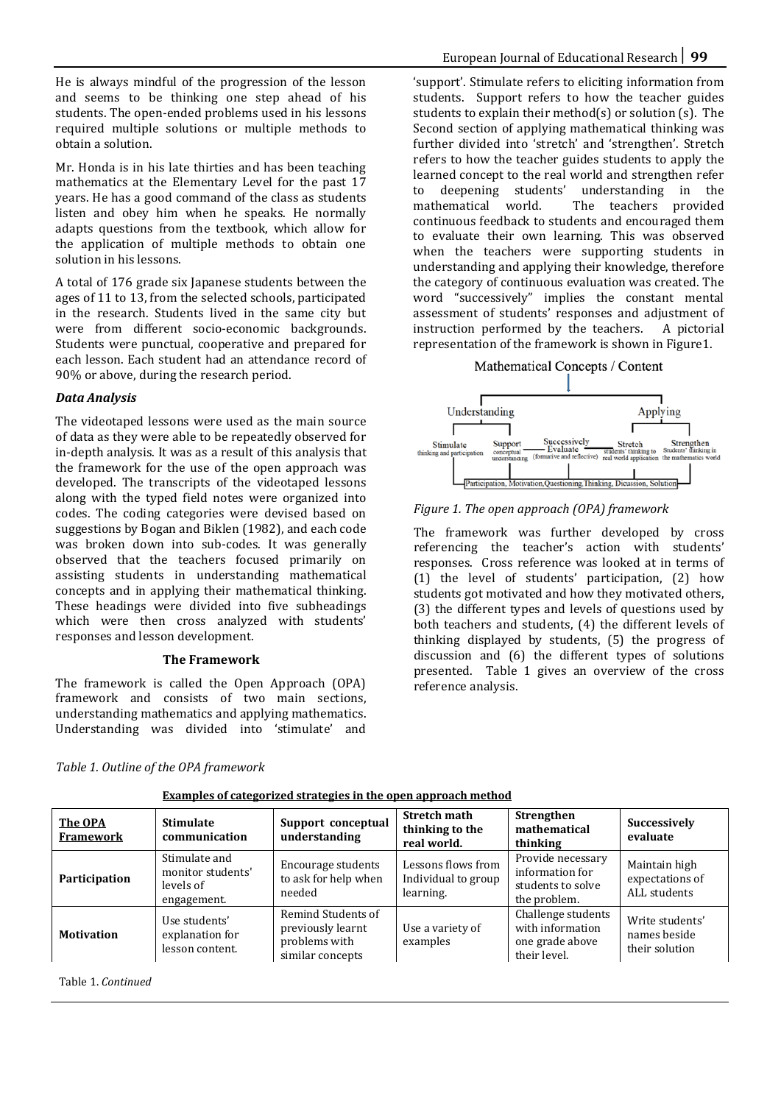He is always mindful of the progression of the lesson and seems to be thinking one step ahead of his students. The open-ended problems used in his lessons required multiple solutions or multiple methods to obtain a solution.

Mr. Honda is in his late thirties and has been teaching mathematics at the Elementary Level for the past 17 years. He has a good command of the class as students listen and obey him when he speaks. He normally adapts questions from the textbook, which allow for the application of multiple methods to obtain one solution in his lessons.

A total of 176 grade six Japanese students between the ages of 11 to 13, from the selected schools, participated in the research. Students lived in the same city but were from different socio-economic backgrounds. Students were punctual, cooperative and prepared for each lesson. Each student had an attendance record of 90% or above, during the research period.

#### *Data Analysis*

The videotaped lessons were used as the main source of data as they were able to be repeatedly observed for in-depth analysis. It was as a result of this analysis that the framework for the use of the open approach was developed. The transcripts of the videotaped lessons along with the typed field notes were organized into codes. The coding categories were devised based on suggestions by Bogan and Biklen (1982), and each code was broken down into sub-codes. It was generally observed that the teachers focused primarily on assisting students in understanding mathematical concepts and in applying their mathematical thinking. These headings were divided into five subheadings which were then cross analyzed with students' responses and lesson development.

#### **The Framework**

 $\mathbf{A}$  $\sim$   $\sim$   $\sim$ The framework is called the Open Approach (OPA) framework and consists of two main sections, understanding mathematics and applying mathematics. 'support'. Stimulate refers to eliciting information from students. Support refers to how the teacher guides students to explain their method(s) or solution (s). The Second section of applying mathematical thinking was further divided into 'stretch' and 'strengthen'. Stretch refers to how the teacher guides students to apply the learned concept to the real world and strengthen refer<br>to deepening students' understanding in the to deepening students' understanding in the The teachers provided continuous feedback to students and encouraged them to evaluate their own learning. This was observed when the teachers were supporting students in understanding and applying their knowledge, therefore the category of continuous evaluation was created. The word "successively" implies the constant mental assessment of students' responses and adjustment of instruction performed by the teachers. A pictorial instruction performed by the teachers. representation of the framework is shown in Figure1.





*Figure 1. The open approach (OPA) framework*

The framework was further developed by cross referencing the teacher's action with students' responses. Cross reference was looked at in terms of (1) the level of students' participation, (2) how students got motivated and how they motivated others, (3) the different types and levels of questions used by both teachers and students, (4) the different levels of thinking displayed by students, (5) the progress of discussion and (6) the different types of solutions presented. Table 1 gives an overview of the cross reference analysis.

| The framework is called the Open Approach (OPA)     |  |  |  |  |  |  |
|-----------------------------------------------------|--|--|--|--|--|--|
| framework and consists of two main sections.        |  |  |  |  |  |  |
| understanding mathematics and applying mathematics. |  |  |  |  |  |  |
| Understanding was divided into 'stimulate' and      |  |  |  |  |  |  |

| The OPA<br>Framework | <b>Stimulate</b><br>communication                              | Support conceptual<br>understanding                                          | <b>Stretch math</b><br>thinking to the<br>real world.  | Strengthen<br>mathematical<br>thinking                                    | Successively<br>evaluate                          |
|----------------------|----------------------------------------------------------------|------------------------------------------------------------------------------|--------------------------------------------------------|---------------------------------------------------------------------------|---------------------------------------------------|
| Participation        | Stimulate and<br>monitor students'<br>levels of<br>engagement. | Encourage students<br>to ask for help when<br>needed                         | Lessons flows from<br>Individual to group<br>learning. | Provide necessary<br>information for<br>students to solve<br>the problem. | Maintain high<br>expectations of<br>ALL students  |
| <b>Motivation</b>    | Use students'<br>explanation for<br>lesson content.            | Remind Students of<br>previously learnt<br>problems with<br>similar concepts | Use a variety of<br>examples                           | Challenge students<br>with information<br>one grade above<br>their level. | Write students'<br>names beside<br>their solution |

*Table 1. Outline of the OPA framework*

| Examples of categorized strategies in the open approach method |  |  |
|----------------------------------------------------------------|--|--|
|                                                                |  |  |

Table 1. *Continued*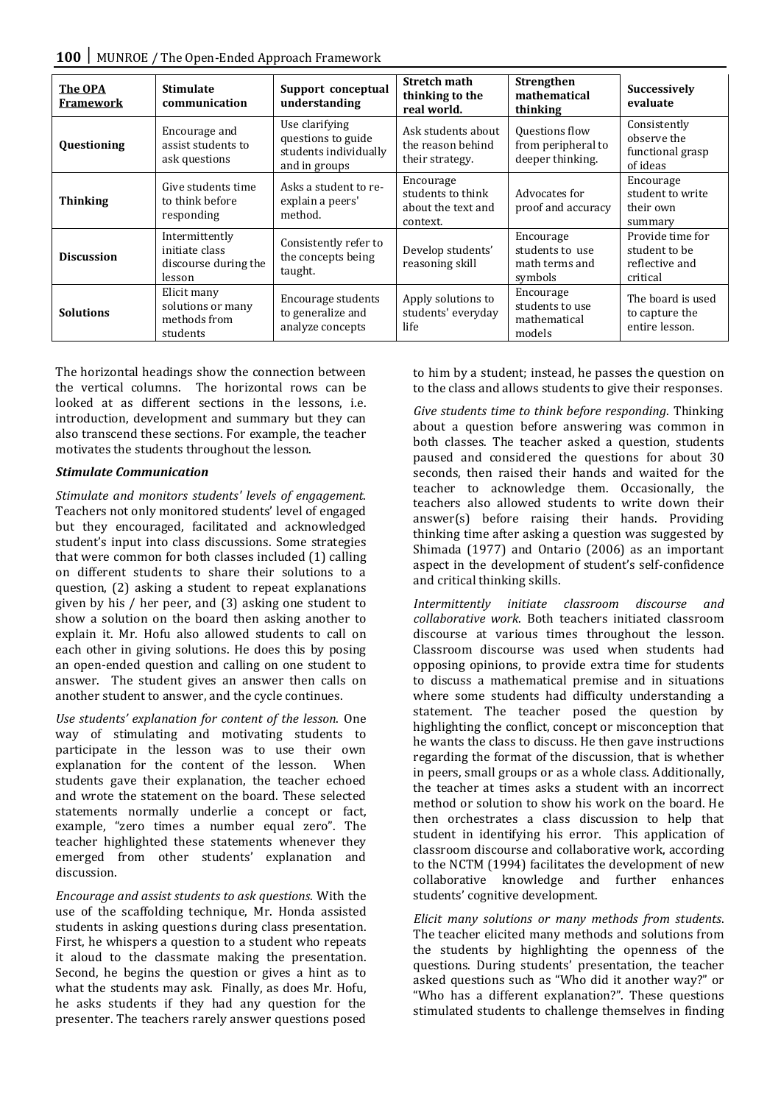| The OPA<br>Framework | <b>Stimulate</b><br>communication                                  | Support conceptual<br>understanding                                            | <b>Stretch math</b><br>thinking to the<br>real world.            | <b>Strengthen</b><br>mathematical<br>thinking             | <b>Successively</b><br>evaluate                                 |
|----------------------|--------------------------------------------------------------------|--------------------------------------------------------------------------------|------------------------------------------------------------------|-----------------------------------------------------------|-----------------------------------------------------------------|
| Questioning          | Encourage and<br>assist students to<br>ask questions               | Use clarifying<br>questions to guide<br>students individually<br>and in groups | Ask students about<br>the reason behind<br>their strategy.       | Questions flow<br>from peripheral to<br>deeper thinking.  | Consistently<br>observe the<br>functional grasp<br>of ideas     |
| <b>Thinking</b>      | Give students time<br>to think before<br>responding                | Asks a student to re-<br>explain a peers'<br>method.                           | Encourage<br>students to think<br>about the text and<br>context. | Advocates for<br>proof and accuracy                       | Encourage<br>student to write<br>their own<br>summary           |
| <b>Discussion</b>    | Intermittently<br>initiate class<br>discourse during the<br>lesson | Consistently refer to<br>the concepts being<br>taught.                         | Develop students'<br>reasoning skill                             | Encourage<br>students to use<br>math terms and<br>symbols | Provide time for<br>student to be<br>reflective and<br>critical |
| <b>Solutions</b>     | Elicit many<br>solutions or many<br>methods from<br>students       | Encourage students<br>to generalize and<br>analyze concepts                    | Apply solutions to<br>students' everyday<br>life                 | Encourage<br>students to use<br>mathematical<br>models    | The board is used<br>to capture the<br>entire lesson.           |

The horizontal headings show the connection between the vertical columns. The horizontal rows can be looked at as different sections in the lessons, i.e. introduction, development and summary but they can also transcend these sections. For example, the teacher motivates the students throughout the lesson.

#### *Stimulate Communication*

*Stimulate and monitors students' levels of engagement*. Teachers not only monitored students' level of engaged but they encouraged, facilitated and acknowledged student's input into class discussions. Some strategies that were common for both classes included (1) calling on different students to share their solutions to a question, (2) asking a student to repeat explanations given by his / her peer, and (3) asking one student to show a solution on the board then asking another to explain it. Mr. Hofu also allowed students to call on each other in giving solutions. He does this by posing an open-ended question and calling on one student to answer. The student gives an answer then calls on another student to answer, and the cycle continues.

*Use students' explanation for content of the lesson*. One way of stimulating and motivating students to participate in the lesson was to use their own explanation for the content of the lesson. When students gave their explanation, the teacher echoed and wrote the statement on the board. These selected statements normally underlie a concept or fact, example, "zero times a number equal zero". The teacher highlighted these statements whenever they emerged from other students' explanation and discussion.

*Encourage and assist students to ask questions*. With the use of the scaffolding technique, Mr. Honda assisted students in asking questions during class presentation. First, he whispers a question to a student who repeats it aloud to the classmate making the presentation. Second, he begins the question or gives a hint as to what the students may ask. Finally, as does Mr. Hofu, he asks students if they had any question for the presenter. The teachers rarely answer questions posed

to him by a student; instead, he passes the question on to the class and allows students to give their responses.

*Give students time to think before responding*. Thinking about a question before answering was common in both classes. The teacher asked a question, students paused and considered the questions for about 30 seconds, then raised their hands and waited for the teacher to acknowledge them. Occasionally, the teachers also allowed students to write down their answer(s) before raising their hands. Providing thinking time after asking a question was suggested by Shimada (1977) and Ontario (2006) as an important aspect in the development of student's self-confidence and critical thinking skills.

*Intermittently initiate classroom discourse and collaborative work*. Both teachers initiated classroom discourse at various times throughout the lesson. Classroom discourse was used when students had opposing opinions, to provide extra time for students to discuss a mathematical premise and in situations where some students had difficulty understanding a statement. The teacher posed the question by highlighting the conflict, concept or misconception that he wants the class to discuss. He then gave instructions regarding the format of the discussion, that is whether in peers, small groups or as a whole class. Additionally, the teacher at times asks a student with an incorrect method or solution to show his work on the board. He then orchestrates a class discussion to help that student in identifying his error. This application of classroom discourse and collaborative work, according to the NCTM (1994) facilitates the development of new collaborative knowledge and further enhances students' cognitive development.

*Elicit many solutions or many methods from students*. The teacher elicited many methods and solutions from the students by highlighting the openness of the questions. During students' presentation, the teacher asked questions such as "Who did it another way?" or "Who has a different explanation?". These questions stimulated students to challenge themselves in finding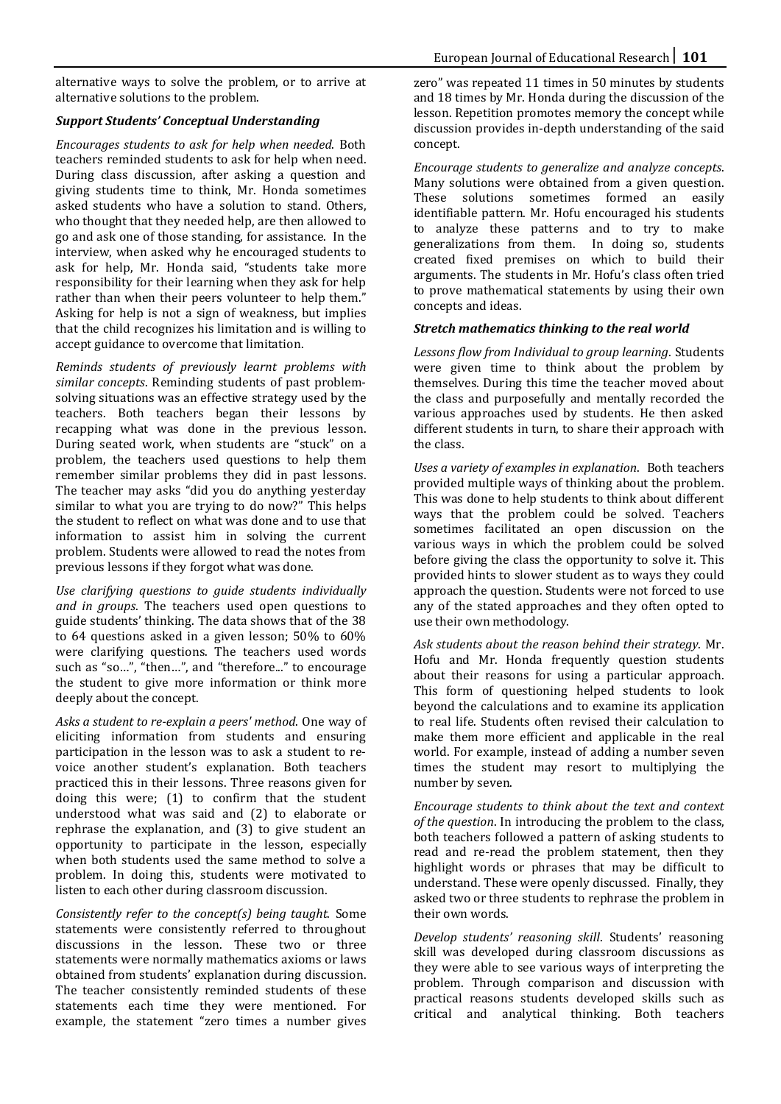alternative ways to solve the problem, or to arrive at alternative solutions to the problem.

# *Support Students' Conceptual Understanding*

*Encourages students to ask for help when needed*. Both teachers reminded students to ask for help when need. During class discussion, after asking a question and giving students time to think, Mr. Honda sometimes asked students who have a solution to stand. Others, who thought that they needed help, are then allowed to go and ask one of those standing, for assistance. In the interview, when asked why he encouraged students to ask for help, Mr. Honda said, "students take more responsibility for their learning when they ask for help rather than when their peers volunteer to help them." Asking for help is not a sign of weakness, but implies that the child recognizes his limitation and is willing to accept guidance to overcome that limitation.

*Reminds students of previously learnt problems with similar concepts*. Reminding students of past problemsolving situations was an effective strategy used by the teachers. Both teachers began their lessons by recapping what was done in the previous lesson. During seated work, when students are "stuck" on a problem, the teachers used questions to help them remember similar problems they did in past lessons. The teacher may asks "did you do anything yesterday similar to what you are trying to do now?" This helps the student to reflect on what was done and to use that information to assist him in solving the current problem. Students were allowed to read the notes from previous lessons if they forgot what was done.

*Use clarifying questions to guide students individually and in groups*. The teachers used open questions to guide students' thinking. The data shows that of the 38 to 64 questions asked in a given lesson; 50% to 60% were clarifying questions. The teachers used words such as "so...", "then...", and "therefore..." to encourage the student to give more information or think more deeply about the concept.

*Asks a student to re-explain a peers' method*. One way of eliciting information from students and ensuring participation in the lesson was to ask a student to revoice another student's explanation. Both teachers practiced this in their lessons. Three reasons given for doing this were; (1) to confirm that the student understood what was said and (2) to elaborate or rephrase the explanation, and (3) to give student an opportunity to participate in the lesson, especially when both students used the same method to solve a problem. In doing this, students were motivated to listen to each other during classroom discussion.

*Consistently refer to the concept(s) being taught*. Some statements were consistently referred to throughout discussions in the lesson. These two or three statements were normally mathematics axioms or laws obtained from students' explanation during discussion. The teacher consistently reminded students of these statements each time they were mentioned. For example, the statement "zero times a number gives

zero" was repeated 11 times in 50 minutes by students and 18 times by Mr. Honda during the discussion of the lesson. Repetition promotes memory the concept while discussion provides in-depth understanding of the said concept.

*Encourage students to generalize and analyze concepts*. Many solutions were obtained from a given question. These solutions sometimes formed an easily identifiable pattern. Mr. Hofu encouraged his students to analyze these patterns and to try to make<br>generalizations from them. In doing so, students generalizations from them. created fixed premises on which to build their arguments. The students in Mr. Hofu's class often tried to prove mathematical statements by using their own concepts and ideas.

#### *Stretch mathematics thinking to the real world*

*Lessons flow from Individual to group learning*. Students were given time to think about the problem by themselves. During this time the teacher moved about the class and purposefully and mentally recorded the various approaches used by students. He then asked different students in turn, to share their approach with the class.

*Uses a variety of examples in explanation*. Both teachers provided multiple ways of thinking about the problem. This was done to help students to think about different ways that the problem could be solved. Teachers sometimes facilitated an open discussion on the various ways in which the problem could be solved before giving the class the opportunity to solve it. This provided hints to slower student as to ways they could approach the question. Students were not forced to use any of the stated approaches and they often opted to use their own methodology.

*Ask students about the reason behind their strategy*. Mr. Hofu and Mr. Honda frequently question students about their reasons for using a particular approach. This form of questioning helped students to look beyond the calculations and to examine its application to real life. Students often revised their calculation to make them more efficient and applicable in the real world. For example, instead of adding a number seven times the student may resort to multiplying the number by seven.

*Encourage students to think about the text and context of the question*. In introducing the problem to the class, both teachers followed a pattern of asking students to read and re-read the problem statement, then they highlight words or phrases that may be difficult to understand. These were openly discussed. Finally, they asked two or three students to rephrase the problem in their own words.

*Develop students' reasoning skill*. Students' reasoning skill was developed during classroom discussions as they were able to see various ways of interpreting the problem. Through comparison and discussion with practical reasons students developed skills such as critical and analytical thinking. Both teachers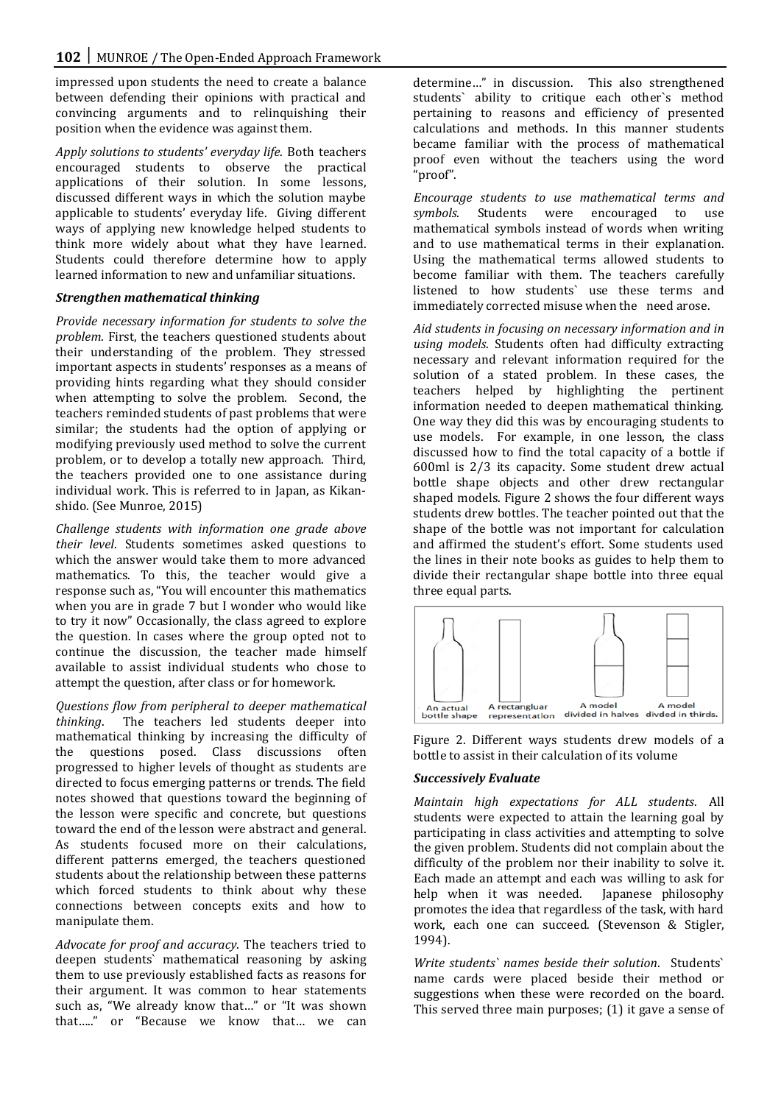impressed upon students the need to create a balance between defending their opinions with practical and convincing arguments and to relinquishing their position when the evidence was against them.

*Apply solutions to students' everyday life*. Both teachers encouraged students to observe the practical applications of their solution. In some lessons, discussed different ways in which the solution maybe applicable to students' everyday life. Giving different ways of applying new knowledge helped students to think more widely about what they have learned. Students could therefore determine how to apply learned information to new and unfamiliar situations.

# *Strengthen mathematical thinking*

*Provide necessary information for students to solve the problem*. First, the teachers questioned students about their understanding of the problem. They stressed important aspects in students' responses as a means of providing hints regarding what they should consider when attempting to solve the problem. Second, the teachers reminded students of past problems that were similar; the students had the option of applying or modifying previously used method to solve the current problem, or to develop a totally new approach. Third, the teachers provided one to one assistance during individual work. This is referred to in Japan, as Kikanshido. (See Munroe, 2015)

*Challenge students with information one grade above their level*. Students sometimes asked questions to which the answer would take them to more advanced mathematics. To this, the teacher would give a response such as, "You will encounter this mathematics when you are in grade 7 but I wonder who would like to try it now" Occasionally, the class agreed to explore the question. In cases where the group opted not to continue the discussion, the teacher made himself available to assist individual students who chose to attempt the question, after class or for homework.

*Questions flow from peripheral to deeper mathematical thinking*. The teachers led students deeper into mathematical thinking by increasing the difficulty of<br>the questions posed. Class discussions often questions posed. Class discussions often progressed to higher levels of thought as students are directed to focus emerging patterns or trends. The field notes showed that questions toward the beginning of the lesson were specific and concrete, but questions toward the end of the lesson were abstract and general. As students focused more on their calculations, different patterns emerged, the teachers questioned students about the relationship between these patterns which forced students to think about why these connections between concepts exits and how to manipulate them.

*Advocate for proof and accuracy*. The teachers tried to deepen students` mathematical reasoning by asking them to use previously established facts as reasons for their argument. It was common to hear statements such as, "We already know that…" or "It was shown that….." or "Because we know that… we can

determine…" in discussion. This also strengthened students` ability to critique each other`s method pertaining to reasons and efficiency of presented calculations and methods. In this manner students became familiar with the process of mathematical proof even without the teachers using the word "proof".

*Encourage students to use mathematical terms and symbols*. Students were encouraged to use mathematical symbols instead of words when writing and to use mathematical terms in their explanation. Using the mathematical terms allowed students to become familiar with them. The teachers carefully listened to how students` use these terms and immediately corrected misuse when the need arose.

*Aid students in focusing on necessary information and in using models*. Students often had difficulty extracting necessary and relevant information required for the solution of a stated problem. In these cases, the teachers helped by highlighting the pertinent information needed to deepen mathematical thinking. One way they did this was by encouraging students to use models. For example, in one lesson, the class discussed how to find the total capacity of a bottle if 600ml is 2/3 its capacity. Some student drew actual bottle shape objects and other drew rectangular shaped models. Figure 2 shows the four different ways students drew bottles. The teacher pointed out that the shape of the bottle was not important for calculation and affirmed the student's effort. Some students used the lines in their note books as guides to help them to divide their rectangular shape bottle into three equal three equal parts.



Figure 2. Different ways students drew models of a bottle to assist in their calculation of its volume

# *Successively Evaluate*

*Maintain high expectations for ALL students*. All students were expected to attain the learning goal by participating in class activities and attempting to solve the given problem. Students did not complain about the difficulty of the problem nor their inability to solve it. Each made an attempt and each was willing to ask for<br>help when it was needed. Japanese philosophy help when it was needed. promotes the idea that regardless of the task, with hard work, each one can succeed. (Stevenson & Stigler, 1994).

*Write students` names beside their solution*. Students` name cards were placed beside their method or suggestions when these were recorded on the board. This served three main purposes; (1) it gave a sense of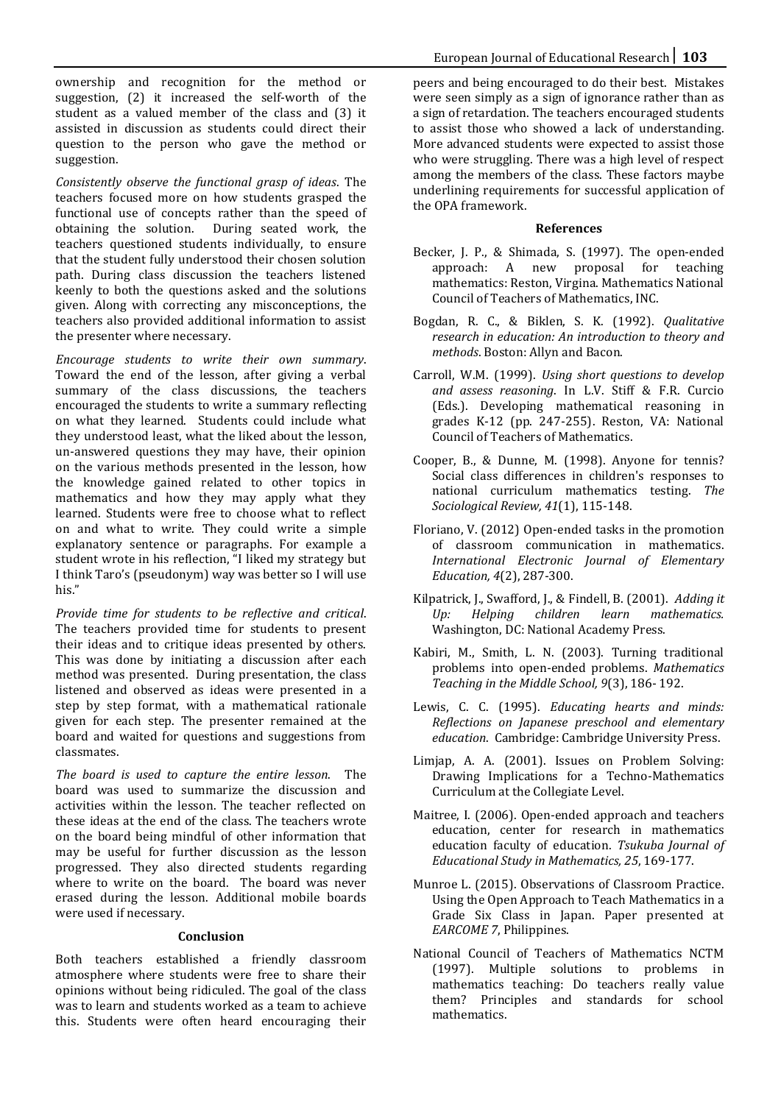ownership and recognition for the method or suggestion, (2) it increased the self-worth of the student as a valued member of the class and (3) it assisted in discussion as students could direct their question to the person who gave the method or suggestion.

*Consistently observe the functional grasp of ideas*. The teachers focused more on how students grasped the functional use of concepts rather than the speed of obtaining the solution. During seated work, the teachers questioned students individually, to ensure that the student fully understood their chosen solution path. During class discussion the teachers listened keenly to both the questions asked and the solutions given. Along with correcting any misconceptions, the teachers also provided additional information to assist the presenter where necessary.

*Encourage students to write their own summary*. Toward the end of the lesson, after giving a verbal summary of the class discussions, the teachers encouraged the students to write a summary reflecting on what they learned. Students could include what they understood least, what the liked about the lesson, un-answered questions they may have, their opinion on the various methods presented in the lesson, how the knowledge gained related to other topics in mathematics and how they may apply what they learned. Students were free to choose what to reflect on and what to write. They could write a simple explanatory sentence or paragraphs. For example a student wrote in his reflection, "I liked my strategy but I think Taro's (pseudonym) way was better so I will use his."

*Provide time for students to be reflective and critical*. The teachers provided time for students to present their ideas and to critique ideas presented by others. This was done by initiating a discussion after each method was presented. During presentation, the class listened and observed as ideas were presented in a step by step format, with a mathematical rationale given for each step. The presenter remained at the board and waited for questions and suggestions from classmates.

*The board is used to capture the entire lesson*. The board was used to summarize the discussion and activities within the lesson. The teacher reflected on these ideas at the end of the class. The teachers wrote on the board being mindful of other information that may be useful for further discussion as the lesson progressed. They also directed students regarding where to write on the board. The board was never erased during the lesson. Additional mobile boards were used if necessary.

#### **Conclusion**

Both teachers established a friendly classroom atmosphere where students were free to share their opinions without being ridiculed. The goal of the class was to learn and students worked as a team to achieve this. Students were often heard encouraging their

peers and being encouraged to do their best. Mistakes were seen simply as a sign of ignorance rather than as a sign of retardation. The teachers encouraged students to assist those who showed a lack of understanding. More advanced students were expected to assist those who were struggling. There was a high level of respect among the members of the class. These factors maybe underlining requirements for successful application of the OPA framework.

#### **References**

- Becker, J. P., & Shimada, S. (1997). The open-ended approach: A new proposal for teaching mathematics: Reston, Virgina. Mathematics National Council of Teachers of Mathematics, INC.
- Bogdan, R. C., & Biklen, S. K. (1992). *Qualitative research in education: An introduction to theory and methods*. Boston: Allyn and Bacon.
- Carroll, W.M. (1999). *Using short questions to develop and assess reasoning*. In L.V. Stiff & F.R. Curcio (Eds.). Developing mathematical reasoning in grades K-12 (pp. 247-255). Reston, VA: National Council of Teachers of Mathematics.
- Cooper, B., & Dunne, M. (1998). Anyone for tennis? Social class differences in children's responses to national curriculum mathematics testing. *The Sociological Review, 41*(1), 115-148.
- Floriano, V. (2012) Open-ended tasks in the promotion of classroom communication in mathematics. *International Electronic Journal of Elementary Education, 4*(2), 287-300.
- Kilpatrick, J., Swafford, J., & Findell, B. (2001). *Adding it*   $mathematics$ . Washington, DC: National Academy Press.
- Kabiri, M., Smith, L. N. (2003). Turning traditional problems into open-ended problems. *Mathematics Teaching in the Middle School, 9*(3), 186- 192.
- Lewis, C. C. (1995). *Educating hearts and minds: Reflections on Japanese preschool and elementary education*. Cambridge: Cambridge University Press.
- Limjap, A. A. (2001). Issues on Problem Solving: Drawing Implications for a Techno-Mathematics Curriculum at the Collegiate Level.
- Maitree, I. (2006). Open-ended approach and teachers education, center for research in mathematics education faculty of education. *Tsukuba Journal of Educational Study in Mathematics, 25*, 169-177.
- Munroe L. (2015). Observations of Classroom Practice. Using the Open Approach to Teach Mathematics in a Grade Six Class in Japan. Paper presented at *EARCOME 7*, Philippines.
- National Council of Teachers of Mathematics NCTM (1997). Multiple solutions to problems in mathematics teaching: Do teachers really value them? Principles and standards for school mathematics.